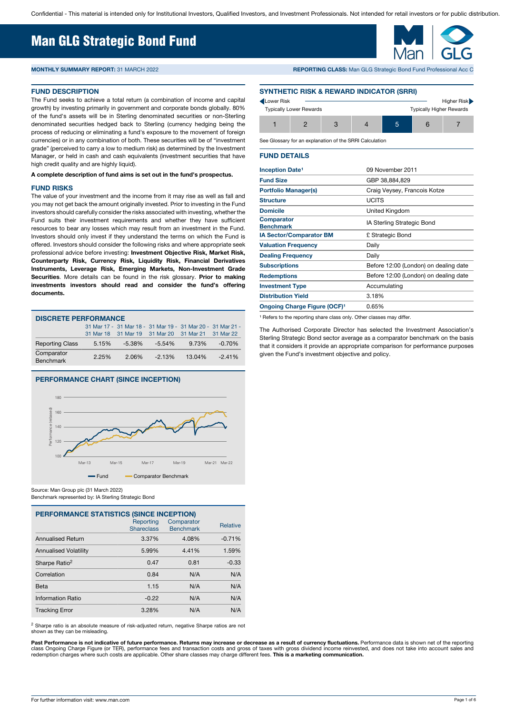## Man GLG Strategic Bond Fund

#### **FUND DESCRIPTION**

The Fund seeks to achieve a total return (a combination of income and capital growth) by investing primarily in government and corporate bonds globally. 80% of the fund's assets will be in Sterling denominated securities or non-Sterling denominated securities hedged back to Sterling (currency hedging being the process of reducing or eliminating a fund's exposure to the movement of foreign currencies) or in any combination of both. These securities will be of "investment grade" (perceived to carry a low to medium risk) as determined by the Investment Manager, or held in cash and cash equivalents (investment securities that have high credit quality and are highly liquid).

#### **A complete description of fund aims is set out in the fund's prospectus.**

#### **FUND RISKS**

The value of your investment and the income from it may rise as well as fall and you may not get back the amount originally invested. Prior to investing in the Fund investors should carefully consider the risks associated with investing, whether the Fund suits their investment requirements and whether they have sufficient resources to bear any losses which may result from an investment in the Fund. Investors should only invest if they understand the terms on which the Fund is offered. Investors should consider the following risks and where appropriate seek professional advice before investing: **Investment Objective Risk, Market Risk, Counterparty Risk, Currency Risk, Liquidity Risk, Financial Derivatives Instruments, Leverage Risk, Emerging Markets, Non-Investment Grade Securities**. More details can be found in the risk glossary. **Prior to making investments investors should read and consider the fund's offering documents.**

| <b>DISCRETE PERFORMANCE</b>    |       |        |                                                             |        |           |  |  |  |
|--------------------------------|-------|--------|-------------------------------------------------------------|--------|-----------|--|--|--|
|                                |       |        | 31 Mar 17 - 31 Mar 18 - 31 Mar 19 - 31 Mar 20 - 31 Mar 21 - |        |           |  |  |  |
|                                |       |        | 31 Mar 18 31 Mar 19 31 Mar 20 31 Mar 21 31 Mar 22           |        |           |  |  |  |
| <b>Reporting Class</b>         | 5.15% | -5.38% | -5.54%                                                      | 9.73%  | $-0.70\%$ |  |  |  |
| Comparator<br><b>Benchmark</b> | 2.25% | 2.06%  | $-2.13%$                                                    | 13.04% | $-2.41%$  |  |  |  |

#### **PERFORMANCE CHART (SINCE INCEPTION)**



Source: Man Group plc (31 March 2022) Benchmark represented by: IA Sterling Strategic Bond

| <b>PERFORMANCE STATISTICS (SINCE INCEPTION)</b> |                                |                                |                 |  |  |  |
|-------------------------------------------------|--------------------------------|--------------------------------|-----------------|--|--|--|
|                                                 | Reporting<br><b>Shareclass</b> | Comparator<br><b>Benchmark</b> | <b>Relative</b> |  |  |  |
| <b>Annualised Return</b>                        | 3.37%                          | 4.08%                          | $-0.71%$        |  |  |  |
| <b>Annualised Volatility</b>                    | 5.99%                          | 4.41%                          | 1.59%           |  |  |  |
| Sharpe Ratio <sup>2</sup>                       | 0.47                           | 0.81                           | $-0.33$         |  |  |  |
| Correlation                                     | 0.84                           | N/A                            | N/A             |  |  |  |
| Beta                                            | 1.15                           | N/A                            | N/A             |  |  |  |
| Information Ratio                               | $-0.22$                        | N/A                            | N/A             |  |  |  |
| <b>Tracking Error</b>                           | 3.28%                          | N/A                            | N/A             |  |  |  |

<sup>2</sup> Sharpe ratio is an absolute measure of risk-adjusted return, negative Sharpe ratios are not shown as they can be misleading.

Past Performance is not indicative of future performance. Returns may increase or decrease as a result of currency fluctuations. Performance data is shown net of the reporting<br>class Ongoing Charge Figure (or TER), performa redemption charges where such costs are applicable. Other share classes may charge different fees. **This is a marketing communication.** 

**MONTHLY SUMMARY REPORT:** 31 MARCH 2022 **REPORTING CLASS:** Man GLG Strategic Bond Fund Professional Acc C

#### **SYNTHETIC RISK & REWARD INDICATOR (SRRI)**

| Lower Risk | <b>Typically Lower Rewards</b> |  |   | <b>Typically Higher Rewards</b> | Higher Risk |
|------------|--------------------------------|--|---|---------------------------------|-------------|
|            |                                |  | ъ |                                 |             |

See Glossary for an explanation of the SRRI Calculation

#### **FUND DETAILS**

| <b>Inception Date<sup>1</sup></b>        | 09 November 2011                      |
|------------------------------------------|---------------------------------------|
| <b>Fund Size</b>                         | GBP 38,884,829                        |
| <b>Portfolio Manager(s)</b>              | Craig Veysey, Francois Kotze          |
| <b>Structure</b>                         | <b>UCITS</b>                          |
| <b>Domicile</b>                          | United Kingdom                        |
| <b>Comparator</b><br><b>Benchmark</b>    | IA Sterling Strategic Bond            |
| <b>IA Sector/Comparator BM</b>           | £ Strategic Bond                      |
| <b>Valuation Frequency</b>               | Daily                                 |
| <b>Dealing Frequency</b>                 | Daily                                 |
| <b>Subscriptions</b>                     | Before 12:00 (London) on dealing date |
| <b>Redemptions</b>                       | Before 12:00 (London) on dealing date |
| <b>Investment Type</b>                   | Accumulating                          |
| <b>Distribution Yield</b>                | 3.18%                                 |
| Ongoing Charge Figure (OCF) <sup>1</sup> | 0.65%                                 |
|                                          |                                       |

<sup>1</sup> Refers to the reporting share class only. Other classes may differ.

The Authorised Corporate Director has selected the Investment Association's Sterling Strategic Bond sector average as a comparator benchmark on the basis that it considers it provide an appropriate comparison for performance purposes given the Fund's investment objective and policy.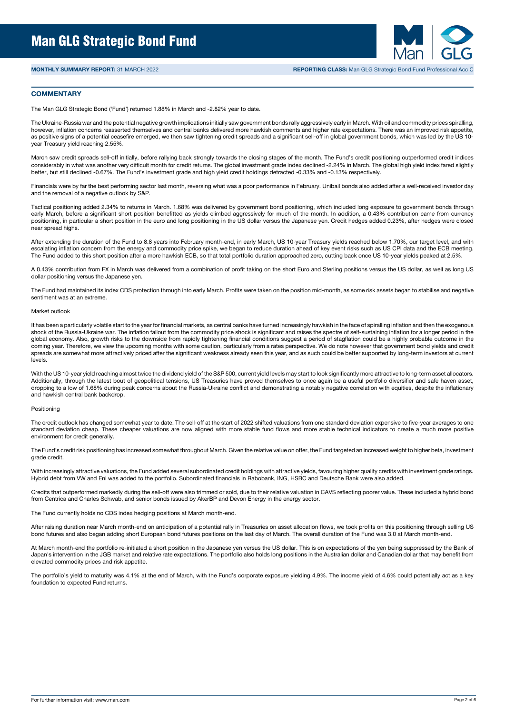

#### **COMMENTARY**

The Man GLG Strategic Bond ('Fund') returned 1.88% in March and -2.82% year to date.

The Ukraine-Russia war and the potential negative growth implications initially saw government bonds rally aggressively early in March. With oil and commodity prices spiralling, however, inflation concerns reasserted themselves and central banks delivered more hawkish comments and higher rate expectations. There was an improved risk appetite, as positive signs of a potential ceasefire emerged, we then saw tightening credit spreads and a significant sell-off in global government bonds, which was led by the US 10year Treasury yield reaching 2.55%.

March saw credit spreads sell-off initially, before rallying back strongly towards the closing stages of the month. The Fund's credit positioning outperformed credit indices considerably in what was another very difficult month for credit returns. The global investment grade index declined -2.24% in March. The global high yield index fared slightly better, but still declined -0.67%. The Fund's investment grade and high yield credit holdings detracted -0.33% and -0.13% respectively.

Financials were by far the best performing sector last month, reversing what was a poor performance in February. Unibail bonds also added after a well-received investor day and the removal of a negative outlook by S&P.

Tactical positioning added 2.34% to returns in March. 1.68% was delivered by government bond positioning, which included long exposure to government bonds through early March, before a significant short position benefitted as yields climbed aggressively for much of the month. In addition, a 0.43% contribution came from currency positioning, in particular a short position in the euro and long positioning in the US dollar versus the Japanese yen. Credit hedges added 0.23%, after hedges were closed near spread highs.

After extending the duration of the Fund to 8.8 years into February month-end, in early March, US 10-year Treasury yields reached below 1.70%, our target level, and with escalating inflation concern from the energy and commodity price spike, we began to reduce duration ahead of key event risks such as US CPI data and the ECB meeting. The Fund added to this short position after a more hawkish ECB, so that total portfolio duration approached zero, cutting back once US 10-year yields peaked at 2.5%.

A 0.43% contribution from FX in March was delivered from a combination of profit taking on the short Euro and Sterling positions versus the US dollar, as well as long US dollar positioning versus the Japanese yen.

The Fund had maintained its index CDS protection through into early March. Profits were taken on the position mid-month, as some risk assets began to stabilise and negative sentiment was at an extreme.

#### Market outlook

It has been a particularly volatile start to the year for financial markets, as central banks have turned increasingly hawkish in the face of spiralling inflation and then the exogenous shock of the Russia-Ukraine war. The inflation fallout from the commodity price shock is significant and raises the spectre of self-sustaining inflation for a longer period in the global economy. Also, growth risks to the downside from rapidly tightening financial conditions suggest a period of stagflation could be a highly probable outcome in the coming year. Therefore, we view the upcoming months with some caution, particularly from a rates perspective. We do note however that government bond yields and credit spreads are somewhat more attractively priced after the significant weakness already seen this year, and as such could be better supported by long-term investors at current levels.

With the US 10-year yield reaching almost twice the dividend yield of the S&P 500, current yield levels may start to look significantly more attractive to long-term asset allocators. Additionally, through the latest bout of geopolitical tensions, US Treasuries have proved themselves to once again be a useful portfolio diversifier and safe haven asset, dropping to a low of 1.68% during peak concerns about the Russia-Ukraine conflict and demonstrating a notably negative correlation with equities, despite the inflationary and hawkish central bank backdrop.

#### Positioning

The credit outlook has changed somewhat year to date. The sell-off at the start of 2022 shifted valuations from one standard deviation expensive to five-year averages to one standard deviation cheap. These cheaper valuations are now aligned with more stable fund flows and more stable technical indicators to create a much more positive environment for credit generally.

The Fund's credit risk positioning has increased somewhat throughout March. Given the relative value on offer, the Fund targeted an increased weight to higher beta, investment grade credit.

With increasingly attractive valuations, the Fund added several subordinated credit holdings with attractive yields, favouring higher quality credits with investment grade ratings. Hybrid debt from VW and Eni was added to the portfolio. Subordinated financials in Rabobank, ING, HSBC and Deutsche Bank were also added.

Credits that outperformed markedly during the sell-off were also trimmed or sold, due to their relative valuation in CAVS reflecting poorer value. These included a hybrid bond from Centrica and Charles Schwab, and senior bonds issued by AkerBP and Devon Energy in the energy sector.

The Fund currently holds no CDS index hedging positions at March month-end.

After raising duration near March month-end on anticipation of a potential rally in Treasuries on asset allocation flows, we took profits on this positioning through selling US bond futures and also began adding short European bond futures positions on the last day of March. The overall duration of the Fund was 3.0 at March month-end.

At March month-end the portfolio re-initiated a short position in the Japanese yen versus the US dollar. This is on expectations of the yen being suppressed by the Bank of Japan's intervention in the JGB market and relative rate expectations. The portfolio also holds long positions in the Australian dollar and Canadian dollar that may benefit from elevated commodity prices and risk appetite.

The portfolio's yield to maturity was 4.1% at the end of March, with the Fund's corporate exposure yielding 4.9%. The income yield of 4.6% could potentially act as a key foundation to expected Fund returns.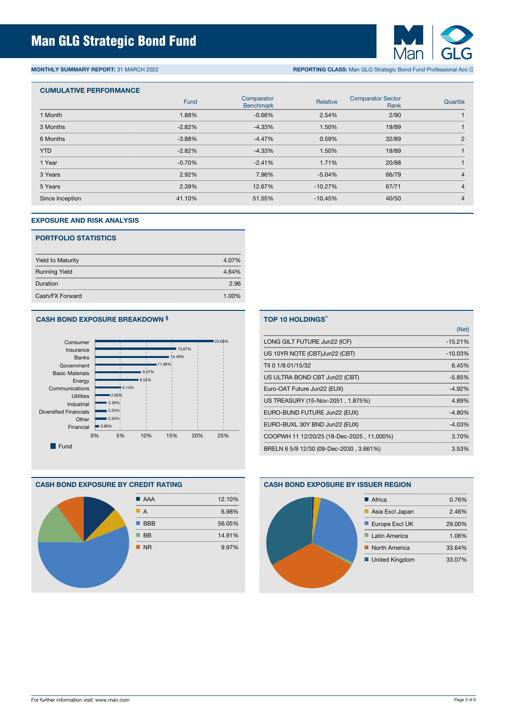

**MONTHLY SUMMARY REPORT:** 31 MARCH 2022 **REPORTING CLASS:** Man GLG Strategic Bond Fund Professional Acc C

### **CUMULATIVE PERFORMANCE**

|                 | Fund     | Comparator<br><b>Benchmark</b> | Relative  | <b>Comparator Sector</b><br>Rank | Quartile       |
|-----------------|----------|--------------------------------|-----------|----------------------------------|----------------|
| 1 Month         | 1.88%    | $-0.66%$                       | 2.54%     | 2/90                             |                |
| 3 Months        | $-2.82%$ | $-4.33%$                       | 1.50%     | 19/89                            |                |
| 6 Months        | $-3.88%$ | $-4.47%$                       | 0.59%     | 32/89                            | $\overline{2}$ |
| <b>YTD</b>      | $-2.82%$ | $-4.33%$                       | 1.50%     | 19/89                            |                |
| 1 Year          | $-0.70%$ | $-2.41%$                       | 1.71%     | 20/88                            |                |
| 3 Years         | 2.92%    | 7.96%                          | $-5.04%$  | 66/79                            | 4              |
| 5 Years         | 2.39%    | 12.67%                         | $-10.27%$ | 67/71                            | 4              |
| Since Inception | 41.10%   | 51.55%                         | $-10.45%$ | 40/50                            | 4              |

#### **EXPOSURE AND RISK ANALYSIS**

#### **PORTFOLIO STATISTICS**

| <b>Yield to Maturity</b> | 4.07% |
|--------------------------|-------|
| <b>Running Yield</b>     | 4.64% |
| Duration                 | 2.96  |
| Cash/FX Forward          | 1.00% |

#### **CASH BOND EXPOSURE BREAKDOWN §**



#### **CASH BOND EXPOSURE BY CREDIT RATING**



## **TOP 10 HOLDINGS^** (Net) LONG GILT FUTURE Jun22 (ICF) 415.21% US 10YR NOTE (CBT)Jun22 (CBT)  $-10.03\%$ TII 0 1/8 01/15/32 6.45% US ULTRA BOND CBT Jun22 (CBT) 45.85% Euro-OAT Future Jun22 (EUX) -4.92% US TREASURY (15-Nov-2051, 1.875%) 4.89% EURO-BUND FUTURE Jun22 (EUX) -4.80% EURO-BUXL 30Y BND Jun22 (EUX) -4.03% COOPWH 11 12/20/25 (18-Dec-2025 , 11.000%) 3.70% BRELN 6 5/8 12/30 (09-Dec-2030, 3.661%) 3.53%

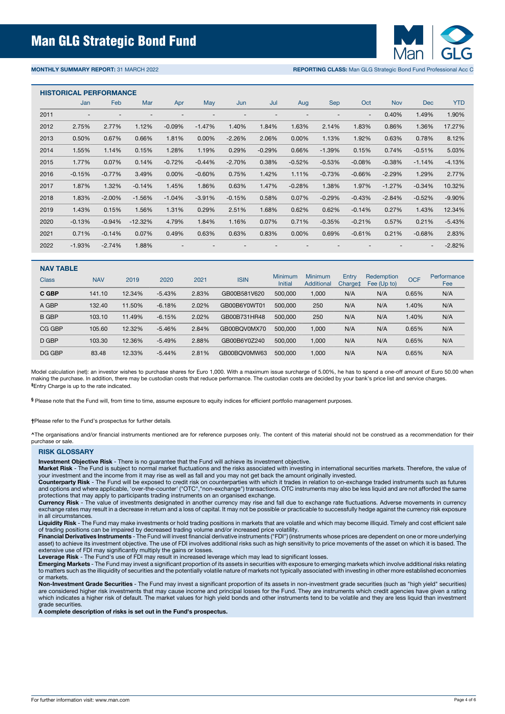

**MONTHLY SUMMARY REPORT:** 31 MARCH 2022 **REPORTING CLASS:** Man GLG Strategic Bond Fund Professional Acc C

#### **HISTORICAL PERFORMANCE**

|      | <b>TIBLONOAL FENI ONWANOL</b> |          |           |                          |          |          |          |          |            |                          |            |                          |            |
|------|-------------------------------|----------|-----------|--------------------------|----------|----------|----------|----------|------------|--------------------------|------------|--------------------------|------------|
|      | Jan                           | Feb      | Mar       | Apr                      | May      | Jun      | Jul      | Aug      | <b>Sep</b> | Oct                      | <b>Nov</b> | <b>Dec</b>               | <b>YTD</b> |
| 2011 |                               |          |           |                          |          |          |          |          |            | $\overline{\phantom{0}}$ | 0.40%      | 1.49%                    | 1.90%      |
| 2012 | 2.75%                         | 2.77%    | 1.12%     | $-0.09%$                 | $-1.47%$ | 1.40%    | 1.84%    | 1.63%    | 2.14%      | 1.83%                    | 0.86%      | 1.36%                    | 17.27%     |
| 2013 | 0.50%                         | 0.67%    | 0.66%     | 1.81%                    | $0.00\%$ | $-2.26%$ | 2.06%    | 0.00%    | 1.13%      | 1.92%                    | 0.63%      | 0.78%                    | 8.12%      |
| 2014 | 1.55%                         | 1.14%    | 0.15%     | 1.28%                    | 1.19%    | 0.29%    | $-0.29%$ | 0.66%    | $-1.39%$   | 0.15%                    | 0.74%      | $-0.51%$                 | 5.03%      |
| 2015 | 1.77%                         | 0.07%    | 0.14%     | $-0.72%$                 | $-0.44%$ | $-2.70%$ | 0.38%    | $-0.52%$ | $-0.53%$   | $-0.08%$                 | $-0.38%$   | $-1.14%$                 | $-4.13%$   |
| 2016 | $-0.15%$                      | $-0.77%$ | 3.49%     | 0.00%                    | $-0.60%$ | 0.75%    | 1.42%    | 1.11%    | $-0.73%$   | $-0.66%$                 | $-2.29%$   | 1.29%                    | 2.77%      |
| 2017 | 1.87%                         | 1.32%    | $-0.14%$  | 1.45%                    | 1.86%    | 0.63%    | 1.47%    | $-0.28%$ | 1.38%      | 1.97%                    | $-1.27%$   | $-0.34%$                 | 10.32%     |
| 2018 | 1.83%                         | $-2.00%$ | $-1.56%$  | $-1.04%$                 | $-3.91%$ | $-0.15%$ | 0.58%    | 0.07%    | $-0.29%$   | $-0.43%$                 | $-2.84%$   | $-0.52%$                 | $-9.90%$   |
| 2019 | 1.43%                         | 0.15%    | 1.56%     | 1.31%                    | 0.29%    | 2.51%    | 1.68%    | 0.62%    | 0.62%      | $-0.14%$                 | 0.27%      | 1.43%                    | 12.34%     |
| 2020 | $-0.13%$                      | $-0.94%$ | $-12.32%$ | 4.79%                    | 1.84%    | 1.16%    | 0.07%    | 0.71%    | $-0.35%$   | $-0.21%$                 | 0.57%      | 0.21%                    | $-5.43%$   |
| 2021 | 0.71%                         | $-0.14%$ | 0.07%     | 0.49%                    | 0.63%    | 0.63%    | 0.83%    | 0.00%    | 0.69%      | $-0.61%$                 | 0.21%      | $-0.68%$                 | 2.83%      |
| 2022 | $-1.93%$                      | $-2.74%$ | 1.88%     | $\overline{\phantom{a}}$ |          |          |          |          |            |                          |            | $\overline{\phantom{a}}$ | $-2.82%$   |

| <b>NAV TABLE</b> |            |        |           |       |              |                           |                                     |                              |                           |            |                    |
|------------------|------------|--------|-----------|-------|--------------|---------------------------|-------------------------------------|------------------------------|---------------------------|------------|--------------------|
| <b>Class</b>     | <b>NAV</b> | 2019   | 2020      | 2021  | <b>ISIN</b>  | Minimum<br><b>Initial</b> | <b>Minimum</b><br><b>Additional</b> | Entry<br>Charge <sup>±</sup> | Redemption<br>Fee (Up to) | <b>OCF</b> | Performance<br>Fee |
| C GBP            | 141.10     | 12.34% | $-5.43\%$ | 2.83% | GB00B581V620 | 500.000                   | 1,000                               | N/A                          | N/A                       | 0.65%      | N/A                |
| A GBP            | 132.40     | 11.50% | $-6.18%$  | 2.02% | GB00B6Y0WT01 | 500,000                   | 250                                 | N/A                          | N/A                       | 1.40%      | N/A                |
| <b>B GBP</b>     | 103.10     | 11.49% | $-6.15%$  | 2.02% | GB00B731HR48 | 500,000                   | 250                                 | N/A                          | N/A                       | 1.40%      | N/A                |
| CG GBP           | 105.60     | 12.32% | $-5.46\%$ | 2.84% | GB00BOV0MX70 | 500.000                   | 1.000                               | N/A                          | N/A                       | 0.65%      | N/A                |
| D GBP            | 103.30     | 12.36% | $-5.49%$  | 2.88% | GB00B6Y0Z240 | 500.000                   | 1.000                               | N/A                          | N/A                       | 0.65%      | N/A                |
| DG GBP           | 83.48      | 12.33% | $-5.44%$  | 2.81% | GB00BQV0MW63 | 500.000                   | 1.000                               | N/A                          | N/A                       | 0.65%      | N/A                |

Model calculation (net): an investor wishes to purchase shares for Euro 1,000. With a maximum issue surcharge of 5,00%, he has to spend a one-off amount of Euro 50,00 when making the purchase. In addition, there may be custodian costs that reduce performance. The custodian costs are decided by your bank's price list and service charges. **‡**Entry Charge is up to the rate indicated.

**§** Please note that the Fund will, from time to time, assume exposure to equity indices for efficient portfolio management purposes.

**†**Please refer to the Fund's prospectus for further details.

**^**The organisations and/or financial instruments mentioned are for reference purposes only. The content of this material should not be construed as a recommendation for their purchase or sale.

#### **RISK GLOSSARY**

**Investment Objective Risk** - There is no guarantee that the Fund will achieve its investment objective.

**Market Risk** - The Fund is subject to normal market fluctuations and the risks associated with investing in international securities markets. Therefore, the value of your investment and the income from it may rise as well as fall and you may not get back the amount originally invested.

**Counterparty Risk** - The Fund will be exposed to credit risk on counterparties with which it trades in relation to on-exchange traded instruments such as futures and options and where applicable, 'over-the-counter' ("OTC","non-exchange") transactions. OTC instruments may also be less liquid and are not afforded the same protections that may apply to participants trading instruments on an organised exchange.

**Currency Risk** - The value of investments designated in another currency may rise and fall due to exchange rate fluctuations. Adverse movements in currency exchange rates may result in a decrease in return and a loss of capital. It may not be possible or practicable to successfully hedge against the currency risk exposure in all circumstances.

**Liquidity Risk** - The Fund may make investments or hold trading positions in markets that are volatile and which may become illiquid. Timely and cost efficient sale of trading positions can be impaired by decreased trading volume and/or increased price volatility.

**Financial Derivatives Instruments** - The Fund will invest financial derivative instruments ("FDI") (instruments whose prices are dependent on one or more underlying asset) to achieve its investment objective. The use of FDI involves additional risks such as high sensitivity to price movements of the asset on which it is based. The extensive use of FDI may significantly multiply the gains or losses.

**Leverage Risk** - The Fund's use of FDI may result in increased leverage which may lead to significant losses.

**Emerging Markets** - The Fund may invest a significant proportion of its assets in securities with exposure to emerging markets which involve additional risks relating to matters such as the illiquidity of securities and the potentially volatile nature of markets not typically associated with investing in other more established economies or markets.

**Non-Investment Grade Securities** - The Fund may invest a significant proportion of its assets in non-investment grade securities (such as "high yield" securities) are considered higher risk investments that may cause income and principal losses for the Fund. They are instruments which credit agencies have given a rating which indicates a higher risk of default. The market values for high yield bonds and other instruments tend to be volatile and they are less liquid than investment grade securities.

**A complete description of risks is set out in the Fund's prospectus.**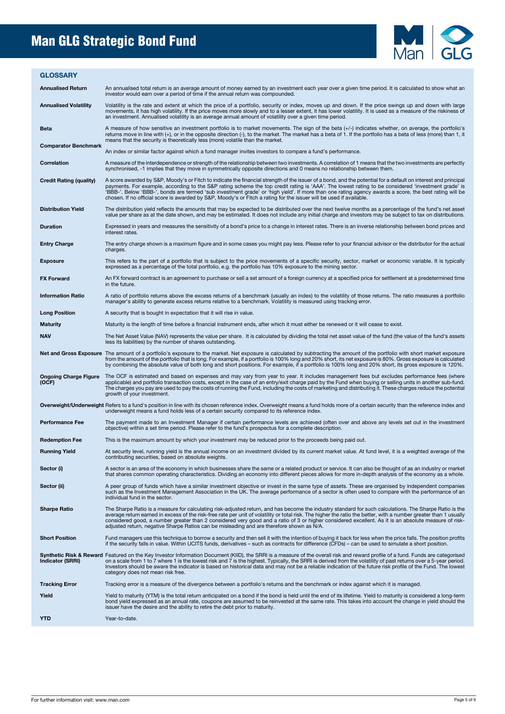# Man GLG Strategic Bond Fund



| <b>GLOSSARY</b>                       |                                                                                                                                                                                                                                                                                                                                                                                                                                                                                                                                                                                                      |
|---------------------------------------|------------------------------------------------------------------------------------------------------------------------------------------------------------------------------------------------------------------------------------------------------------------------------------------------------------------------------------------------------------------------------------------------------------------------------------------------------------------------------------------------------------------------------------------------------------------------------------------------------|
| <b>Annualised Return</b>              | An annualised total return is an average amount of money earned by an investment each year over a given time period. It is calculated to show what an<br>investor would earn over a period of time if the annual return was compounded.                                                                                                                                                                                                                                                                                                                                                              |
| <b>Annualised Volatility</b>          | Volatility is the rate and extent at which the price of a portfolio, security or index, moves up and down. If the price swings up and down with large<br>movements, it has high volatility. If the price moves more slowly and to a lesser extent, it has lower volatility. It is used as a measure of the riskiness of<br>an investment. Annualised volatility is an average annual amount of volatility over a given time period.                                                                                                                                                                  |
| <b>Beta</b>                           | A measure of how sensitive an investment portfolio is to market movements. The sign of the beta (+/-) indicates whether, on average, the portfolio's<br>returns move in line with (+), or in the opposite direction (-), to the market. The market has a beta of 1. If the portfolio has a beta of less (more) than 1, it<br>means that the security is theoretically less (more) volatile than the market.                                                                                                                                                                                          |
| <b>Comparator Benchmark</b>           | An index or similar factor against which a fund manager invites investors to compare a fund's performance.                                                                                                                                                                                                                                                                                                                                                                                                                                                                                           |
| Correlation                           | A measure of the interdependence or strength of the relationship between two investments. A correlation of 1 means that the two investments are perfectly<br>synchronised, -1 implies that they move in symmetrically opposite directions and 0 means no relationship between them.                                                                                                                                                                                                                                                                                                                  |
| <b>Credit Rating (quality)</b>        | A score awarded by S&P, Moody's or Fitch to indicate the financial strength of the issuer of a bond, and the potential for a default on interest and principal<br>payments. For example, according to the S&P rating scheme the top credit rating is 'AAA'. The lowest rating to be considered 'investment grade' is<br>'BBB-'. Below 'BBB-', bonds are termed 'sub investment grade' or 'high yield'. If more than one rating agency awards a score, the best rating will be<br>chosen. If no official score is awarded by S&P, Moody's or Fitch a rating for the issuer will be used if available. |
| <b>Distribution Yield</b>             | The distribution yield reflects the amounts that may be expected to be distributed over the next twelve months as a percentage of the fund's net asset<br>value per share as at the date shown, and may be estimated. It does not include any initial charge and investors may be subject to tax on distributions.                                                                                                                                                                                                                                                                                   |
| <b>Duration</b>                       | Expressed in years and measures the sensitivity of a bond's price to a change in interest rates. There is an inverse relationship between bond prices and<br>interest rates.                                                                                                                                                                                                                                                                                                                                                                                                                         |
| <b>Entry Charge</b>                   | The entry charge shown is a maximum figure and in some cases you might pay less. Please refer to your financial advisor or the distributor for the actual<br>charges.                                                                                                                                                                                                                                                                                                                                                                                                                                |
| <b>Exposure</b>                       | This refers to the part of a portfolio that is subject to the price movements of a specific security, sector, market or economic variable. It is typically<br>expressed as a percentage of the total portfolio, e.g. the portfolio has 10% exposure to the mining sector.                                                                                                                                                                                                                                                                                                                            |
| <b>FX Forward</b>                     | An FX forward contract is an agreement to purchase or sell a set amount of a foreign currency at a specified price for settlement at a predetermined time<br>in the future.                                                                                                                                                                                                                                                                                                                                                                                                                          |
| <b>Information Ratio</b>              | A ratio of portfolio returns above the excess returns of a benchmark (usually an index) to the volatility of those returns. The ratio measures a portfolio<br>manager's ability to generate excess returns relative to a benchmark. Volatility is measured using tracking error.                                                                                                                                                                                                                                                                                                                     |
| <b>Long Position</b>                  | A security that is bought in expectation that it will rise in value.                                                                                                                                                                                                                                                                                                                                                                                                                                                                                                                                 |
| <b>Maturity</b>                       | Maturity is the length of time before a financial instrument ends, after which it must either be renewed or it will cease to exist.                                                                                                                                                                                                                                                                                                                                                                                                                                                                  |
| <b>NAV</b>                            | The Net Asset Value (NAV) represents the value per share. It is calculated by dividing the total net asset value of the fund (the value of the fund's assets<br>less its liabilities) by the number of shares outstanding.                                                                                                                                                                                                                                                                                                                                                                           |
|                                       | Net and Gross Exposure The amount of a portfolio's exposure to the market. Net exposure is calculated by subtracting the amount of the portfolio with short market exposure<br>from the amount of the portfolio that is long. For example, if a portfolio is 100% long and 20% short, its net exposure is 80%. Gross exposure is calculated<br>by combining the absolute value of both long and short positions. For example, if a portfolio is 100% long and 20% short, its gross exposure is 120%.                                                                                                 |
| <b>Ongoing Charge Figure</b><br>(OCF) | The OCF is estimated and based on expenses and may vary from year to year. It includes management fees but excludes performance fees (where<br>applicable) and portfolio transaction costs, except in the case of an entry/exit charge paid by the Fund when buying or selling units in another sub-fund.<br>The charges you pay are used to pay the costs of running the Fund, including the costs of marketing and distributing it. These charges reduce the potential<br>growth of your investment.                                                                                               |
|                                       | Overweight/Underweight Refers to a fund's position in line with its chosen reference index. Overweight means a fund holds more of a certain security than the reference index and<br>underweight means a fund holds less of a certain security compared to its reference index.                                                                                                                                                                                                                                                                                                                      |
| <b>Performance Fee</b>                | The payment made to an Investment Manager if certain performance levels are achieved (often over and above any levels set out in the investment<br>objective) within a set time period. Please refer to the fund's prospectus for a complete description.                                                                                                                                                                                                                                                                                                                                            |
| <b>Redemption Fee</b>                 | This is the maximum amount by which your investment may be reduced prior to the proceeds being paid out.                                                                                                                                                                                                                                                                                                                                                                                                                                                                                             |
| <b>Running Yield</b>                  | At security level, running yield is the annual income on an investment divided by its current market value. At fund level, it is a weighted average of the<br>contributing securities, based on absolute weights.                                                                                                                                                                                                                                                                                                                                                                                    |
| Sector (i)                            | A sector is an area of the economy in which businesses share the same or a related product or service. It can also be thought of as an industry or market<br>that shares common operating characteristics. Dividing an economy into different pieces allows for more in-depth analysis of the economy as a whole.                                                                                                                                                                                                                                                                                    |
| Sector (ii)                           | A peer group of funds which have a similar investment objective or invest in the same type of assets. These are organised by independent companies<br>such as the Investment Management Association in the UK. The average performance of a sector is often used to compare with the performance of an<br>individual fund in the sector.                                                                                                                                                                                                                                                             |
| <b>Sharpe Ratio</b>                   | The Sharpe Ratio is a measure for calculating risk-adjusted return, and has become the industry standard for such calculations. The Sharpe Ratio is the<br>average return earned in excess of the risk-free rate per unit of volatility or total risk. The higher the ratio the better, with a number greater than 1 usually<br>considered good, a number greater than 2 considered very good and a ratio of 3 or higher considered excellent. As it is an absolute measure of risk-<br>adjusted return, negative Sharpe Ratios can be misleading and are therefore shown as N/A.                    |
| <b>Short Position</b>                 | Fund managers use this technique to borrow a security and then sell it with the intention of buying it back for less when the price falls. The position profits<br>if the security falls in value. Within UCITS funds, derivatives – such as contracts for difference (CFDs) – can be used to simulate a short position.                                                                                                                                                                                                                                                                             |
| <b>Indicator (SRRI)</b>               | Synthetic Risk & Reward Featured on the Key Investor Information Document (KIID), the SRRI is a measure of the overall risk and reward profile of a fund. Funds are categorised<br>on a scale from 1 to 7 where 1 is the lowest risk and 7 is the highest. Typically, the SRRI is derived from the volatility of past returns over a 5-year period.<br>Investors should be aware the indicator is based on historical data and may not be a reliable indication of the future risk profile of the Fund. The lowest<br>category does not mean risk free.                                              |
| <b>Tracking Error</b>                 | Tracking error is a measure of the divergence between a portfolio's returns and the benchmark or index against which it is managed.                                                                                                                                                                                                                                                                                                                                                                                                                                                                  |
| Yield                                 | Yield to maturity (YTM) is the total return anticipated on a bond if the bond is held until the end of its lifetime. Yield to maturity is considered a long-term<br>bond yield expressed as an annual rate, coupons are assumed to be reinvested at the same rate. This takes into account the change in yield should the<br>issuer have the desire and the ability to retire the debt prior to maturity.                                                                                                                                                                                            |
| <b>YTD</b>                            | Year-to-date.                                                                                                                                                                                                                                                                                                                                                                                                                                                                                                                                                                                        |